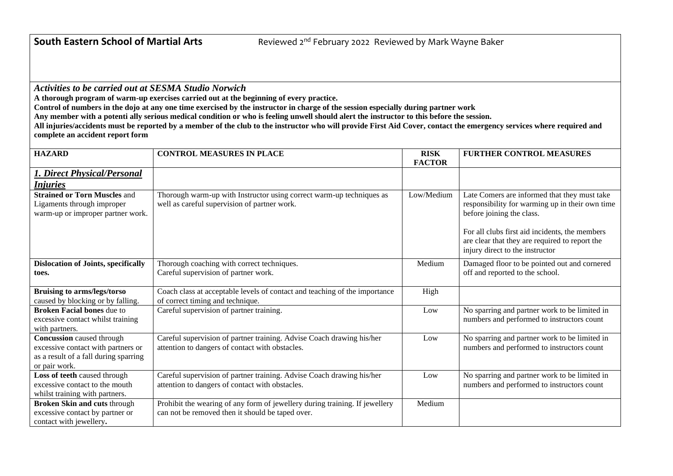*Activities to be carried out at SESMA Studio Norwich*

**A thorough program of warm-up exercises carried out at the beginning of every practice.** 

**Control of numbers in the dojo at any one time exercised by the instructor in charge of the session especially during partner work**

**Any member with a potenti ally serious medical condition or who is feeling unwell should alert the instructor to this before the session.**

**All injuries/accidents must be reported by a member of the club to the instructor who will provide First Aid Cover, contact the emergency services where required and complete an accident report form** 

| <b>HAZARD</b>                                                                                                                    | <b>CONTROL MEASURES IN PLACE</b>                                                                                                | <b>RISK</b>   | <b>FURTHER CONTROL MEASURES</b>                                                                                                                                                                                                                                     |
|----------------------------------------------------------------------------------------------------------------------------------|---------------------------------------------------------------------------------------------------------------------------------|---------------|---------------------------------------------------------------------------------------------------------------------------------------------------------------------------------------------------------------------------------------------------------------------|
|                                                                                                                                  |                                                                                                                                 | <b>FACTOR</b> |                                                                                                                                                                                                                                                                     |
| <b>1. Direct Physical/Personal</b><br><u>Injuries</u>                                                                            |                                                                                                                                 |               |                                                                                                                                                                                                                                                                     |
| <b>Strained or Torn Muscles and</b><br>Ligaments through improper<br>warm-up or improper partner work.                           | Thorough warm-up with Instructor using correct warm-up techniques as<br>well as careful supervision of partner work.            | Low/Medium    | Late Comers are informed that they must take<br>responsibility for warming up in their own time<br>before joining the class.<br>For all clubs first aid incidents, the members<br>are clear that they are required to report the<br>injury direct to the instructor |
| <b>Dislocation of Joints, specifically</b><br>toes.                                                                              | Thorough coaching with correct techniques.<br>Careful supervision of partner work.                                              | Medium        | Damaged floor to be pointed out and cornered<br>off and reported to the school.                                                                                                                                                                                     |
| <b>Bruising to arms/legs/torso</b><br>caused by blocking or by falling.                                                          | Coach class at acceptable levels of contact and teaching of the importance<br>of correct timing and technique.                  | High          |                                                                                                                                                                                                                                                                     |
| <b>Broken Facial bones due to</b><br>excessive contact whilst training<br>with partners.                                         | Careful supervision of partner training.                                                                                        | Low           | No sparring and partner work to be limited in<br>numbers and performed to instructors count                                                                                                                                                                         |
| <b>Concussion</b> caused through<br>excessive contact with partners or<br>as a result of a fall during sparring<br>or pair work. | Careful supervision of partner training. Advise Coach drawing his/her<br>attention to dangers of contact with obstacles.        | Low           | No sparring and partner work to be limited in<br>numbers and performed to instructors count                                                                                                                                                                         |
| Loss of teeth caused through<br>excessive contact to the mouth<br>whilst training with partners.                                 | Careful supervision of partner training. Advise Coach drawing his/her<br>attention to dangers of contact with obstacles.        | Low           | No sparring and partner work to be limited in<br>numbers and performed to instructors count                                                                                                                                                                         |
| <b>Broken Skin and cuts through</b><br>excessive contact by partner or<br>contact with jewellery.                                | Prohibit the wearing of any form of jewellery during training. If jewellery<br>can not be removed then it should be taped over. | Medium        |                                                                                                                                                                                                                                                                     |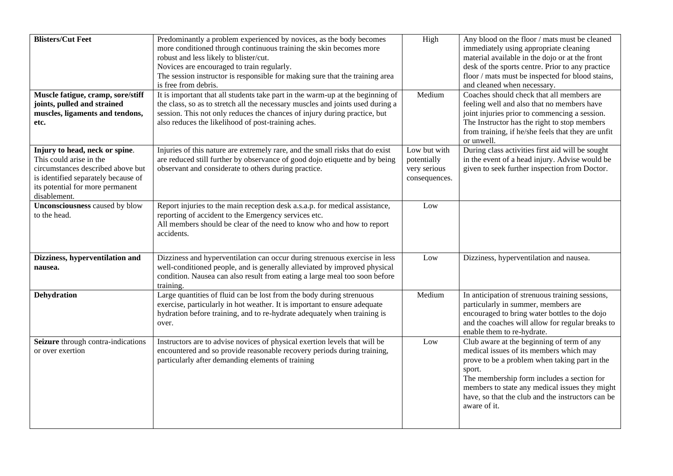| <b>Blisters/Cut Feet</b>                                                                                                                                                                  | Predominantly a problem experienced by novices, as the body becomes<br>more conditioned through continuous training the skin becomes more<br>robust and less likely to blister/cut.<br>Novices are encouraged to train regularly.<br>The session instructor is responsible for making sure that the training area<br>is free from debris. | High                                                         | Any blood on the floor / mats must be cleaned<br>immediately using appropriate cleaning<br>material available in the dojo or at the front<br>desk of the sports centre. Prior to any practice<br>floor / mats must be inspected for blood stains,<br>and cleaned when necessary.                                      |
|-------------------------------------------------------------------------------------------------------------------------------------------------------------------------------------------|-------------------------------------------------------------------------------------------------------------------------------------------------------------------------------------------------------------------------------------------------------------------------------------------------------------------------------------------|--------------------------------------------------------------|-----------------------------------------------------------------------------------------------------------------------------------------------------------------------------------------------------------------------------------------------------------------------------------------------------------------------|
| Muscle fatigue, cramp, sore/stiff<br>joints, pulled and strained<br>muscles, ligaments and tendons,<br>etc.                                                                               | It is important that all students take part in the warm-up at the beginning of<br>the class, so as to stretch all the necessary muscles and joints used during a<br>session. This not only reduces the chances of injury during practice, but<br>also reduces the likelihood of post-training aches.                                      | Medium                                                       | Coaches should check that all members are<br>feeling well and also that no members have<br>joint injuries prior to commencing a session.<br>The Instructor has the right to stop members<br>from training, if he/she feels that they are unfit<br>or unwell.                                                          |
| Injury to head, neck or spine.<br>This could arise in the<br>circumstances described above but<br>is identified separately because of<br>its potential for more permanent<br>disablement. | Injuries of this nature are extremely rare, and the small risks that do exist<br>are reduced still further by observance of good dojo etiquette and by being<br>observant and considerate to others during practice.                                                                                                                      | Low but with<br>potentially<br>very serious<br>consequences. | During class activities first aid will be sought<br>in the event of a head injury. Advise would be<br>given to seek further inspection from Doctor.                                                                                                                                                                   |
| Unconsciousness caused by blow<br>to the head.                                                                                                                                            | Report injuries to the main reception desk a.s.a.p. for medical assistance,<br>reporting of accident to the Emergency services etc.<br>All members should be clear of the need to know who and how to report<br>accidents.                                                                                                                | Low                                                          |                                                                                                                                                                                                                                                                                                                       |
| Dizziness, hyperventilation and<br>nausea.                                                                                                                                                | Dizziness and hyperventilation can occur during strenuous exercise in less<br>well-conditioned people, and is generally alleviated by improved physical<br>condition. Nausea can also result from eating a large meal too soon before<br>training.                                                                                        | Low                                                          | Dizziness, hyperventilation and nausea.                                                                                                                                                                                                                                                                               |
| <b>Dehydration</b>                                                                                                                                                                        | Large quantities of fluid can be lost from the body during strenuous<br>exercise, particularly in hot weather. It is important to ensure adequate<br>hydration before training, and to re-hydrate adequately when training is<br>over.                                                                                                    | Medium                                                       | In anticipation of strenuous training sessions,<br>particularly in summer, members are<br>encouraged to bring water bottles to the dojo<br>and the coaches will allow for regular breaks to<br>enable them to re-hydrate.                                                                                             |
| Seizure through contra-indications<br>or over exertion                                                                                                                                    | Instructors are to advise novices of physical exertion levels that will be<br>encountered and so provide reasonable recovery periods during training,<br>particularly after demanding elements of training                                                                                                                                | Low                                                          | Club aware at the beginning of term of any<br>medical issues of its members which may<br>prove to be a problem when taking part in the<br>sport.<br>The membership form includes a section for<br>members to state any medical issues they might<br>have, so that the club and the instructors can be<br>aware of it. |